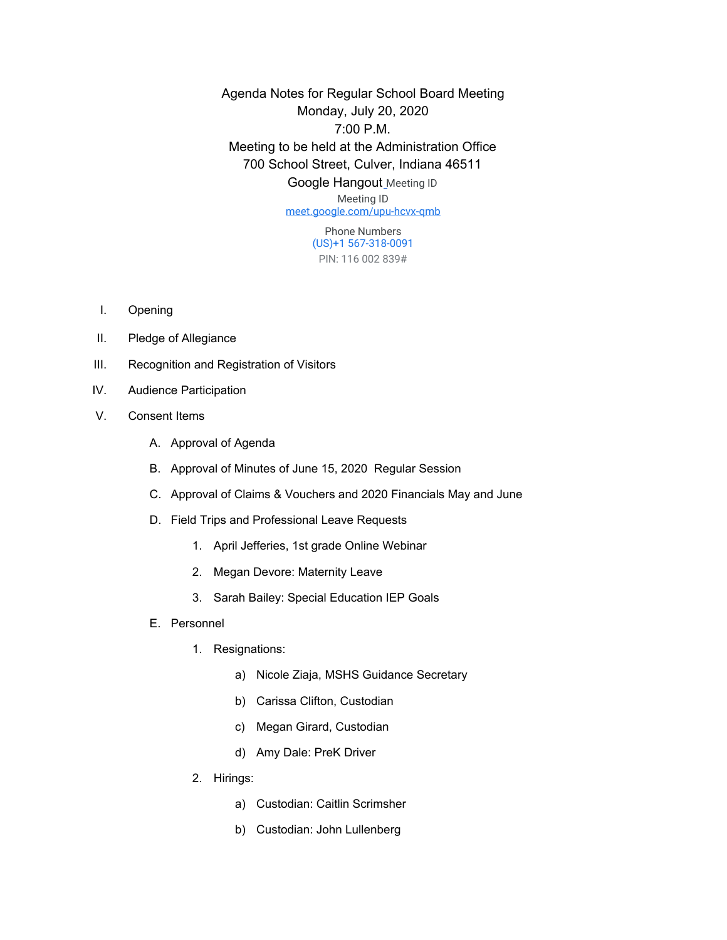Agenda Notes for Regular School Board Meeting Monday, July 20, 2020 7:00 P.M. Meeting to be held at the Administration Office 700 School Street, Culver, Indiana 46511 Google Hangout [M](http://meet.google.com/pjr-gvrv-vee)eeting ID Meeting ID

[meet.google.com/upu-hcvx-qmb](https://meet.google.com/upu-hcvx-qmb?hs=122&authuser=0)

Phone Numbers (US)+1 567-318-0091 PIN: 116 002 839#

- I. Opening
- II. Pledge of Allegiance
- III. Recognition and Registration of Visitors
- IV. Audience Participation
- V. Consent Items
	- A. Approval of Agenda
	- B. Approval of Minutes of June 15, 2020 Regular Session
	- C. Approval of Claims & Vouchers and 2020 Financials May and June
	- D. Field Trips and Professional Leave Requests
		- 1. April Jefferies, 1st grade Online Webinar
		- 2. Megan Devore: Maternity Leave
		- 3. Sarah Bailey: Special Education IEP Goals
	- E. Personnel
		- 1. Resignations:
			- a) Nicole Ziaja, MSHS Guidance Secretary
			- b) Carissa Clifton, Custodian
			- c) Megan Girard, Custodian
			- d) Amy Dale: PreK Driver
		- 2. Hirings:
			- a) Custodian: Caitlin Scrimsher
			- b) Custodian: John Lullenberg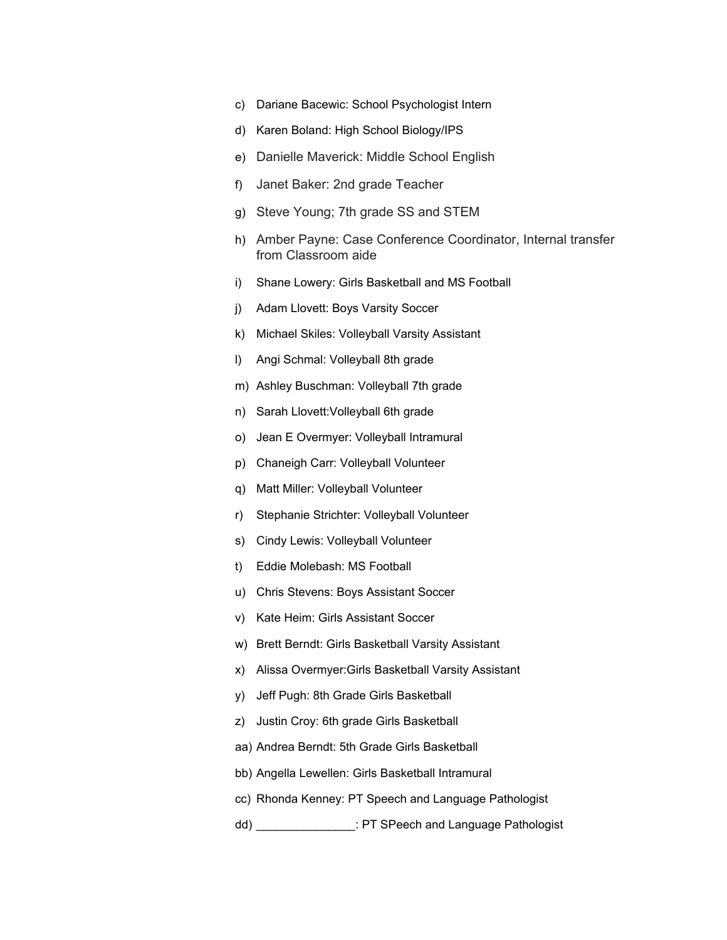- c) Dariane Bacewic: School Psychologist Intern
- d) Karen Boland: High School Biology/IPS
- e) Danielle Maverick: Middle School English
- f) Janet Baker: 2nd grade Teacher
- g) Steve Young; 7th grade SS and STEM
- h) Amber Payne: Case Conference Coordinator, Internal transfer from Classroom aide
- i) Shane Lowery: Girls Basketball and MS Football
- j) Adam Llovett: Boys Varsity Soccer
- k) Michael Skiles: Volleyball Varsity Assistant
- l) Angi Schmal: Volleyball 8th grade
- m) Ashley Buschman: Volleyball 7th grade
- n) Sarah Llovett:Volleyball 6th grade
- o) Jean E Overmyer: Volleyball Intramural
- p) Chaneigh Carr: Volleyball Volunteer
- q) Matt Miller: Volleyball Volunteer
- r) Stephanie Strichter: Volleyball Volunteer
- s) Cindy Lewis: Volleyball Volunteer
- t) Eddie Molebash: MS Football
- u) Chris Stevens: Boys Assistant Soccer
- v) Kate Heim: Girls Assistant Soccer
- w) Brett Berndt: Girls Basketball Varsity Assistant
- x) Alissa Overmyer:Girls Basketball Varsity Assistant
- y) Jeff Pugh: 8th Grade Girls Basketball
- z) Justin Croy: 6th grade Girls Basketball
- aa) Andrea Berndt: 5th Grade Girls Basketball
- bb) Angella Lewellen: Girls Basketball Intramural
- cc) Rhonda Kenney: PT Speech and Language Pathologist
- dd) \_\_\_\_\_\_\_\_\_\_\_\_\_\_\_: PT SPeech and Language Pathologist